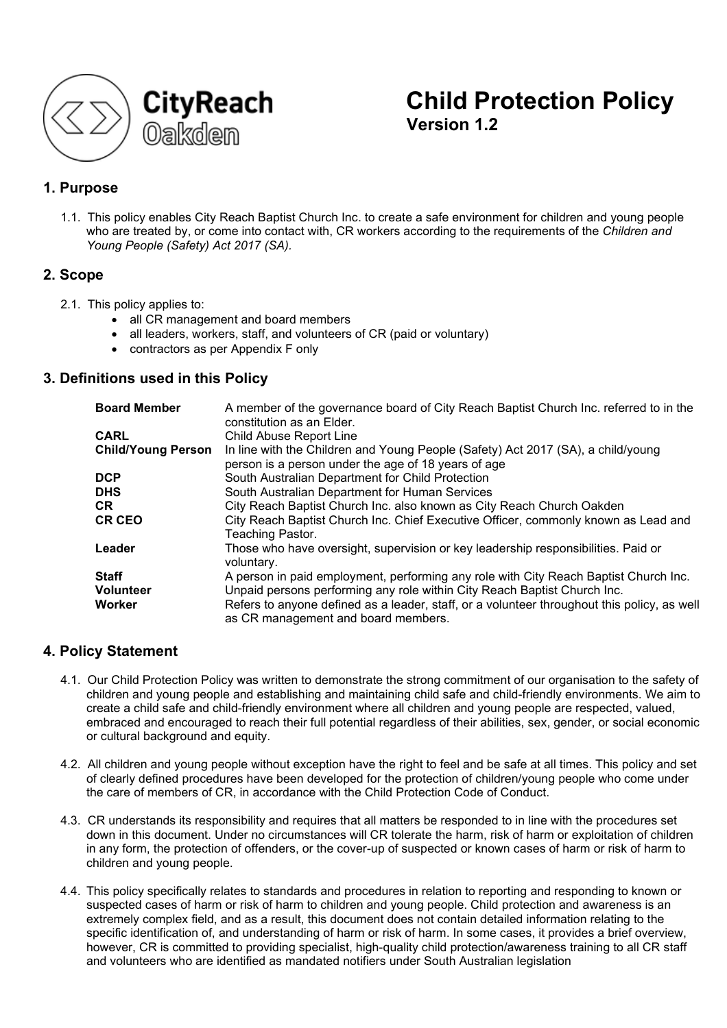

# **Child Protection Policy Version 1.2**

# **1. Purpose**

1.1. This policy enables City Reach Baptist Church Inc. to create a safe environment for children and young people who are treated by, or come into contact with, CR workers according to the requirements of the *Children and Young People (Safety) Act 2017 (SA).*

# **2. Scope**

- 2.1. This policy applies to:
	- all CR management and board members
	- all leaders, workers, staff, and volunteers of CR (paid or voluntary)
	- contractors as per Appendix F only

# **3. Definitions used in this Policy**

| <b>Board Member</b>       | A member of the governance board of City Reach Baptist Church Inc. referred to in the<br>constitution as an Elder.                      |
|---------------------------|-----------------------------------------------------------------------------------------------------------------------------------------|
| <b>CARL</b>               | Child Abuse Report Line                                                                                                                 |
| <b>Child/Young Person</b> | In line with the Children and Young People (Safety) Act 2017 (SA), a child/young<br>person is a person under the age of 18 years of age |
| <b>DCP</b>                | South Australian Department for Child Protection                                                                                        |
| <b>DHS</b>                | South Australian Department for Human Services                                                                                          |
| CR                        | City Reach Baptist Church Inc. also known as City Reach Church Oakden                                                                   |
| <b>CR CEO</b>             | City Reach Baptist Church Inc. Chief Executive Officer, commonly known as Lead and<br>Teaching Pastor.                                  |
| Leader                    | Those who have oversight, supervision or key leadership responsibilities. Paid or<br>voluntary.                                         |
| <b>Staff</b>              | A person in paid employment, performing any role with City Reach Baptist Church Inc.                                                    |
| <b>Volunteer</b>          | Unpaid persons performing any role within City Reach Baptist Church Inc.                                                                |
| Worker                    | Refers to anyone defined as a leader, staff, or a volunteer throughout this policy, as well<br>as CR management and board members.      |

# **4. Policy Statement**

- 4.1. Our Child Protection Policy was written to demonstrate the strong commitment of our organisation to the safety of children and young people and establishing and maintaining child safe and child-friendly environments. We aim to create a child safe and child-friendly environment where all children and young people are respected, valued, embraced and encouraged to reach their full potential regardless of their abilities, sex, gender, or social economic or cultural background and equity.
- 4.2. All children and young people without exception have the right to feel and be safe at all times. This policy and set of clearly defined procedures have been developed for the protection of children/young people who come under the care of members of CR, in accordance with the Child Protection Code of Conduct.
- 4.3. CR understands its responsibility and requires that all matters be responded to in line with the procedures set down in this document. Under no circumstances will CR tolerate the harm, risk of harm or exploitation of children in any form, the protection of offenders, or the cover-up of suspected or known cases of harm or risk of harm to children and young people.
- 4.4. This policy specifically relates to standards and procedures in relation to reporting and responding to known or suspected cases of harm or risk of harm to children and young people. Child protection and awareness is an extremely complex field, and as a result, this document does not contain detailed information relating to the specific identification of, and understanding of harm or risk of harm. In some cases, it provides a brief overview, however, CR is committed to providing specialist, high-quality child protection/awareness training to all CR staff and volunteers who are identified as mandated notifiers under South Australian legislation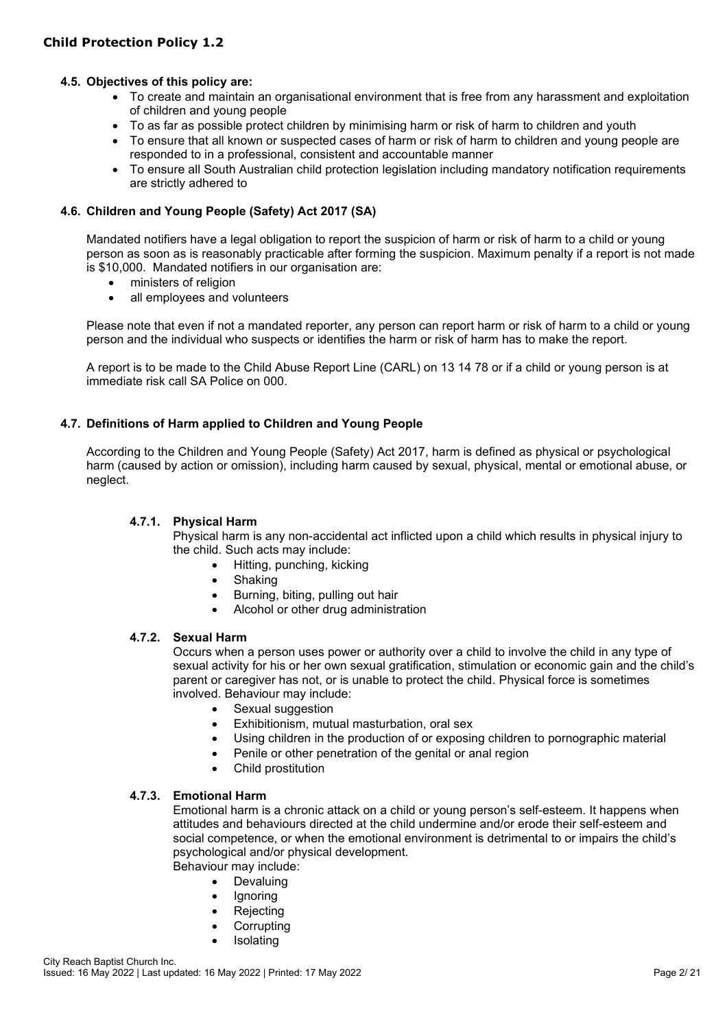# **4.5. Objectives of this policy are:**

- To create and maintain an organisational environment that is free from any harassment and exploitation of children and young people
- To as far as possible protect children by minimising harm or risk of harm to children and youth
- To ensure that all known or suspected cases of harm or risk of harm to children and young people are responded to in a professional, consistent and accountable manner
- To ensure all South Australian child protection legislation including mandatory notification requirements are strictly adhered to

# **4.6. Children and Young People (Safety) Act 2017 (SA)**

Mandated notifiers have a legal obligation to report the suspicion of harm or risk of harm to a child or young person as soon as is reasonably practicable after forming the suspicion. Maximum penalty if a report is not made is \$10,000. Mandated notifiers in our organisation are:

- ministers of religion
- all employees and volunteers

Please note that even if not a mandated reporter, any person can report harm or risk of harm to a child or young person and the individual who suspects or identifies the harm or risk of harm has to make the report.

A report is to be made to the Child Abuse Report Line (CARL) on 13 14 78 or if a child or young person is at immediate risk call SA Police on 000.

# **4.7. Definitions of Harm applied to Children and Young People**

According to the Children and Young People (Safety) Act 2017, harm is defined as physical or psychological harm (caused by action or omission), including harm caused by sexual, physical, mental or emotional abuse, or neglect.

#### **4.7.1. Physical Harm**

Physical harm is any non-accidental act inflicted upon a child which results in physical injury to the child. Such acts may include:

- Hitting, punching, kicking
- Shaking
- Burning, biting, pulling out hair
- Alcohol or other drug administration

#### **4.7.2. Sexual Harm**

Occurs when a person uses power or authority over a child to involve the child in any type of sexual activity for his or her own sexual gratification, stimulation or economic gain and the child's parent or caregiver has not, or is unable to protect the child. Physical force is sometimes involved. Behaviour may include:

- Sexual suggestion
- Exhibitionism, mutual masturbation, oral sex
- Using children in the production of or exposing children to pornographic material
- Penile or other penetration of the genital or anal region
- Child prostitution

# **4.7.3. Emotional Harm**

Emotional harm is a chronic attack on a child or young person's self-esteem. It happens when attitudes and behaviours directed at the child undermine and/or erode their self-esteem and social competence, or when the emotional environment is detrimental to or impairs the child's psychological and/or physical development.

Behaviour may include:

- Devaluing
- **Ignoring**
- **Rejecting**
- Corrupting
- **Isolating**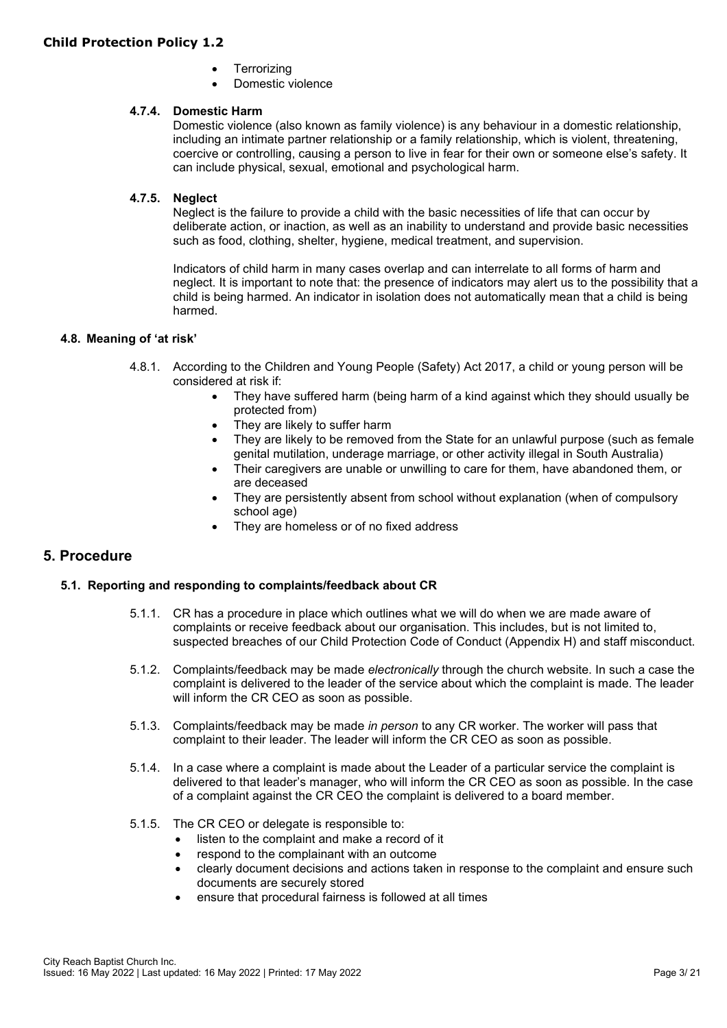- **Terrorizing**
- Domestic violence

#### **4.7.4. Domestic Harm**

Domestic violence (also known as family violence) is any behaviour in a domestic relationship, including an intimate partner relationship or a family relationship, which is violent, threatening, coercive or controlling, causing a person to live in fear for their own or someone else's safety. It can include physical, sexual, emotional and psychological harm.

#### **4.7.5. Neglect**

Neglect is the failure to provide a child with the basic necessities of life that can occur by deliberate action, or inaction, as well as an inability to understand and provide basic necessities such as food, clothing, shelter, hygiene, medical treatment, and supervision.

Indicators of child harm in many cases overlap and can interrelate to all forms of harm and neglect. It is important to note that: the presence of indicators may alert us to the possibility that a child is being harmed. An indicator in isolation does not automatically mean that a child is being harmed.

#### **4.8. Meaning of 'at risk'**

- 4.8.1. According to the Children and Young People (Safety) Act 2017, a child or young person will be considered at risk if:
	- They have suffered harm (being harm of a kind against which they should usually be protected from)
	- They are likely to suffer harm
	- They are likely to be removed from the State for an unlawful purpose (such as female genital mutilation, underage marriage, or other activity illegal in South Australia)
	- Their caregivers are unable or unwilling to care for them, have abandoned them, or are deceased
	- They are persistently absent from school without explanation (when of compulsory school age)
	- They are homeless or of no fixed address

# **5. Procedure**

#### **5.1. Reporting and responding to complaints/feedback about CR**

- 5.1.1. CR has a procedure in place which outlines what we will do when we are made aware of complaints or receive feedback about our organisation. This includes, but is not limited to, suspected breaches of our Child Protection Code of Conduct (Appendix H) and staff misconduct.
- 5.1.2. Complaints/feedback may be made *electronically* through the church website. In such a case the complaint is delivered to the leader of the service about which the complaint is made. The leader will inform the CR CEO as soon as possible.
- 5.1.3. Complaints/feedback may be made *in person* to any CR worker. The worker will pass that complaint to their leader. The leader will inform the CR CEO as soon as possible.
- 5.1.4. In a case where a complaint is made about the Leader of a particular service the complaint is delivered to that leader's manager, who will inform the CR CEO as soon as possible. In the case of a complaint against the CR CEO the complaint is delivered to a board member.
- 5.1.5. The CR CEO or delegate is responsible to:
	- listen to the complaint and make a record of it
	- respond to the complainant with an outcome
	- clearly document decisions and actions taken in response to the complaint and ensure such documents are securely stored
	- ensure that procedural fairness is followed at all times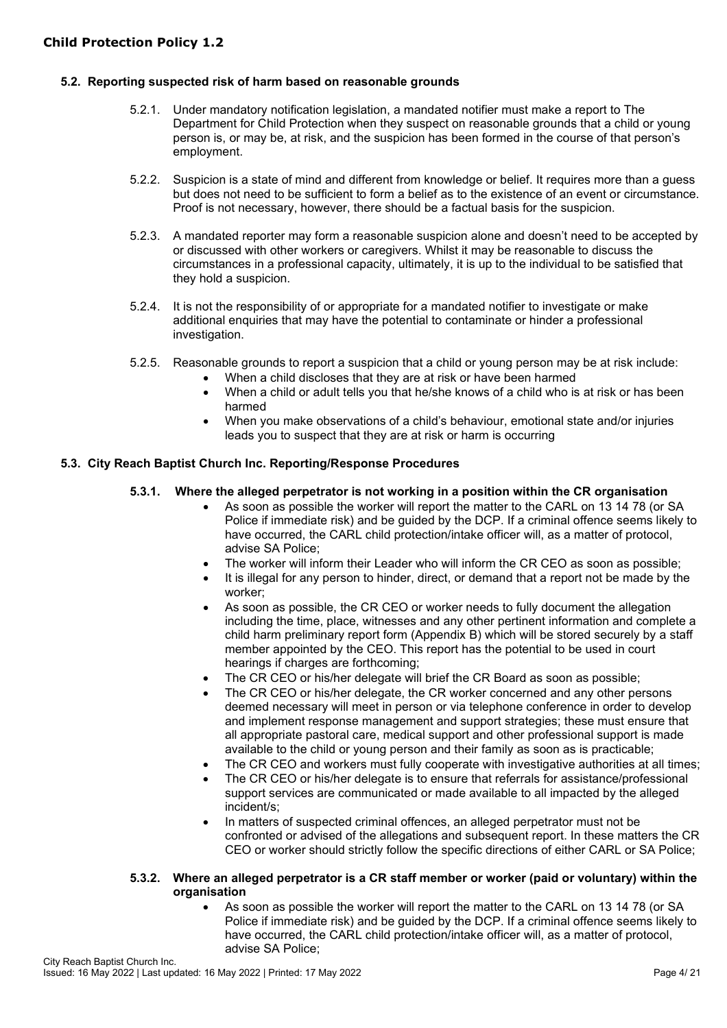# **5.2. Reporting suspected risk of harm based on reasonable grounds**

- 5.2.1. Under mandatory notification legislation, a mandated notifier must make a report to The Department for Child Protection when they suspect on reasonable grounds that a child or young person is, or may be, at risk, and the suspicion has been formed in the course of that person's employment.
- 5.2.2. Suspicion is a state of mind and different from knowledge or belief. It requires more than a guess but does not need to be sufficient to form a belief as to the existence of an event or circumstance. Proof is not necessary, however, there should be a factual basis for the suspicion.
- 5.2.3. A mandated reporter may form a reasonable suspicion alone and doesn't need to be accepted by or discussed with other workers or caregivers. Whilst it may be reasonable to discuss the circumstances in a professional capacity, ultimately, it is up to the individual to be satisfied that they hold a suspicion.
- 5.2.4. It is not the responsibility of or appropriate for a mandated notifier to investigate or make additional enquiries that may have the potential to contaminate or hinder a professional investigation.
- 5.2.5. Reasonable grounds to report a suspicion that a child or young person may be at risk include:
	- When a child discloses that they are at risk or have been harmed
	- When a child or adult tells you that he/she knows of a child who is at risk or has been harmed
	- When you make observations of a child's behaviour, emotional state and/or injuries leads you to suspect that they are at risk or harm is occurring

# **5.3. City Reach Baptist Church Inc. Reporting/Response Procedures**

# **5.3.1. Where the alleged perpetrator is not working in a position within the CR organisation**

- As soon as possible the worker will report the matter to the CARL on 13 14 78 (or SA Police if immediate risk) and be guided by the DCP. If a criminal offence seems likely to have occurred, the CARL child protection/intake officer will, as a matter of protocol, advise SA Police;
- The worker will inform their Leader who will inform the CR CEO as soon as possible;
	- It is illegal for any person to hinder, direct, or demand that a report not be made by the worker;
- As soon as possible, the CR CEO or worker needs to fully document the allegation including the time, place, witnesses and any other pertinent information and complete a child harm preliminary report form (Appendix B) which will be stored securely by a staff member appointed by the CEO. This report has the potential to be used in court hearings if charges are forthcoming;
- The CR CEO or his/her delegate will brief the CR Board as soon as possible;
- The CR CEO or his/her delegate, the CR worker concerned and any other persons deemed necessary will meet in person or via telephone conference in order to develop and implement response management and support strategies; these must ensure that all appropriate pastoral care, medical support and other professional support is made available to the child or young person and their family as soon as is practicable;
- The CR CEO and workers must fully cooperate with investigative authorities at all times;
- The CR CEO or his/her delegate is to ensure that referrals for assistance/professional support services are communicated or made available to all impacted by the alleged incident/s;
- In matters of suspected criminal offences, an alleged perpetrator must not be confronted or advised of the allegations and subsequent report. In these matters the CR CEO or worker should strictly follow the specific directions of either CARL or SA Police;

#### **5.3.2. Where an alleged perpetrator is a CR staff member or worker (paid or voluntary) within the organisation**

• As soon as possible the worker will report the matter to the CARL on 13 14 78 (or SA Police if immediate risk) and be guided by the DCP. If a criminal offence seems likely to have occurred, the CARL child protection/intake officer will, as a matter of protocol, advise SA Police;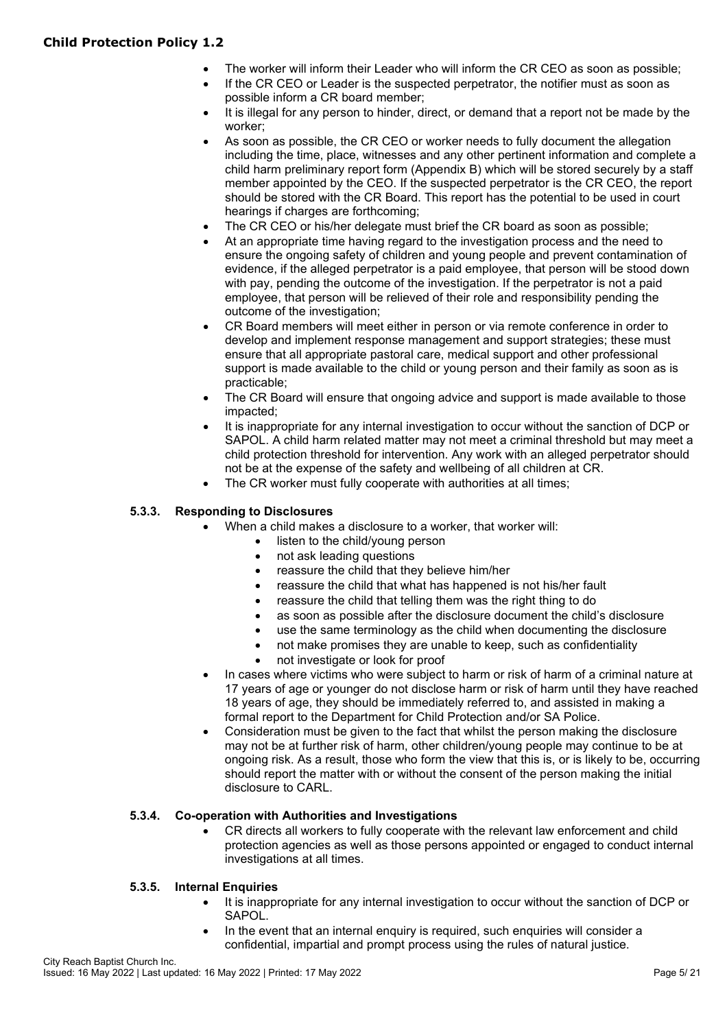# **Child Protection Policy 1.2**

- The worker will inform their Leader who will inform the CR CEO as soon as possible;
- If the CR CEO or Leader is the suspected perpetrator, the notifier must as soon as possible inform a CR board member;
- It is illegal for any person to hinder, direct, or demand that a report not be made by the worker;
- As soon as possible, the CR CEO or worker needs to fully document the allegation including the time, place, witnesses and any other pertinent information and complete a child harm preliminary report form (Appendix B) which will be stored securely by a staff member appointed by the CEO. If the suspected perpetrator is the CR CEO, the report should be stored with the CR Board. This report has the potential to be used in court hearings if charges are forthcoming;
- The CR CEO or his/her delegate must brief the CR board as soon as possible;
- At an appropriate time having regard to the investigation process and the need to ensure the ongoing safety of children and young people and prevent contamination of evidence, if the alleged perpetrator is a paid employee, that person will be stood down with pay, pending the outcome of the investigation. If the perpetrator is not a paid employee, that person will be relieved of their role and responsibility pending the outcome of the investigation;
- CR Board members will meet either in person or via remote conference in order to develop and implement response management and support strategies; these must ensure that all appropriate pastoral care, medical support and other professional support is made available to the child or young person and their family as soon as is practicable;
- The CR Board will ensure that ongoing advice and support is made available to those impacted;
- It is inappropriate for any internal investigation to occur without the sanction of DCP or SAPOL. A child harm related matter may not meet a criminal threshold but may meet a child protection threshold for intervention. Any work with an alleged perpetrator should not be at the expense of the safety and wellbeing of all children at CR.
- The CR worker must fully cooperate with authorities at all times;

#### **5.3.3. Responding to Disclosures**

- When a child makes a disclosure to a worker, that worker will:
	- listen to the child/young person
	- not ask leading questions
	- reassure the child that they believe him/her
	- reassure the child that what has happened is not his/her fault
	- reassure the child that telling them was the right thing to do
	- as soon as possible after the disclosure document the child's disclosure
	- use the same terminology as the child when documenting the disclosure
	- not make promises they are unable to keep, such as confidentiality
	- not investigate or look for proof
	- In cases where victims who were subject to harm or risk of harm of a criminal nature at 17 years of age or younger do not disclose harm or risk of harm until they have reached 18 years of age, they should be immediately referred to, and assisted in making a formal report to the Department for Child Protection and/or SA Police.
	- Consideration must be given to the fact that whilst the person making the disclosure may not be at further risk of harm, other children/young people may continue to be at ongoing risk. As a result, those who form the view that this is, or is likely to be, occurring should report the matter with or without the consent of the person making the initial disclosure to CARL.

# **5.3.4. Co-operation with Authorities and Investigations**

• CR directs all workers to fully cooperate with the relevant law enforcement and child protection agencies as well as those persons appointed or engaged to conduct internal investigations at all times.

#### **5.3.5. Internal Enquiries**

- It is inappropriate for any internal investigation to occur without the sanction of DCP or SAPOL.
- In the event that an internal enquiry is required, such enquiries will consider a confidential, impartial and prompt process using the rules of natural justice.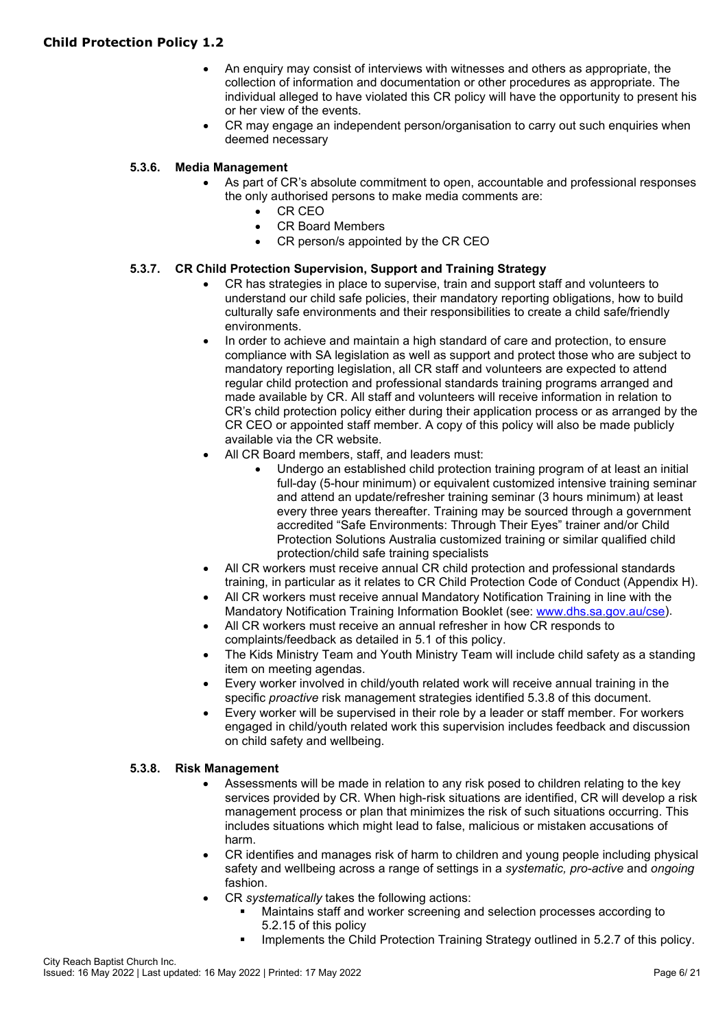- An enquiry may consist of interviews with witnesses and others as appropriate, the collection of information and documentation or other procedures as appropriate. The individual alleged to have violated this CR policy will have the opportunity to present his or her view of the events.
- CR may engage an independent person/organisation to carry out such enquiries when deemed necessary

# **5.3.6. Media Management**

- As part of CR's absolute commitment to open, accountable and professional responses the only authorised persons to make media comments are:
	- CR CEO
	- CR Board Members
	- CR person/s appointed by the CR CEO

# **5.3.7. CR Child Protection Supervision, Support and Training Strategy**

- CR has strategies in place to supervise, train and support staff and volunteers to understand our child safe policies, their mandatory reporting obligations, how to build culturally safe environments and their responsibilities to create a child safe/friendly environments.
- In order to achieve and maintain a high standard of care and protection, to ensure compliance with SA legislation as well as support and protect those who are subject to mandatory reporting legislation, all CR staff and volunteers are expected to attend regular child protection and professional standards training programs arranged and made available by CR. All staff and volunteers will receive information in relation to CR's child protection policy either during their application process or as arranged by the CR CEO or appointed staff member. A copy of this policy will also be made publicly available via the CR website.
- All CR Board members, staff, and leaders must:
	- Undergo an established child protection training program of at least an initial full-day (5-hour minimum) or equivalent customized intensive training seminar and attend an update/refresher training seminar (3 hours minimum) at least every three years thereafter. Training may be sourced through a government accredited "Safe Environments: Through Their Eyes" trainer and/or Child Protection Solutions Australia customized training or similar qualified child protection/child safe training specialists
- All CR workers must receive annual CR child protection and professional standards training, in particular as it relates to CR Child Protection Code of Conduct (Appendix H).
- All CR workers must receive annual Mandatory Notification Training in line with the Mandatory Notification Training Information Booklet (see: [www.dhs.sa.gov.au/cse\)](https://cityreach-my.sharepoint.com/personal/phils_cityreach_com_au/Documents/Child%20Protection/www.dhs.sa.gov.au/cse).
- All CR workers must receive an annual refresher in how CR responds to complaints/feedback as detailed in 5.1 of this policy.
- The Kids Ministry Team and Youth Ministry Team will include child safety as a standing item on meeting agendas.
- Every worker involved in child/youth related work will receive annual training in the specific *proactive* risk management strategies identified 5.3.8 of this document.
- Every worker will be supervised in their role by a leader or staff member. For workers engaged in child/youth related work this supervision includes feedback and discussion on child safety and wellbeing.

# **5.3.8. Risk Management**

- Assessments will be made in relation to any risk posed to children relating to the key services provided by CR. When high-risk situations are identified, CR will develop a risk management process or plan that minimizes the risk of such situations occurring. This includes situations which might lead to false, malicious or mistaken accusations of harm.
- CR identifies and manages risk of harm to children and young people including physical safety and wellbeing across a range of settings in a *systematic, pro-active* and *ongoing* fashion.
- CR *systematically* takes the following actions:
	- Maintains staff and worker screening and selection processes according to 5.2.15 of this policy
	- Implements the Child Protection Training Strategy outlined in 5.2.7 of this policy.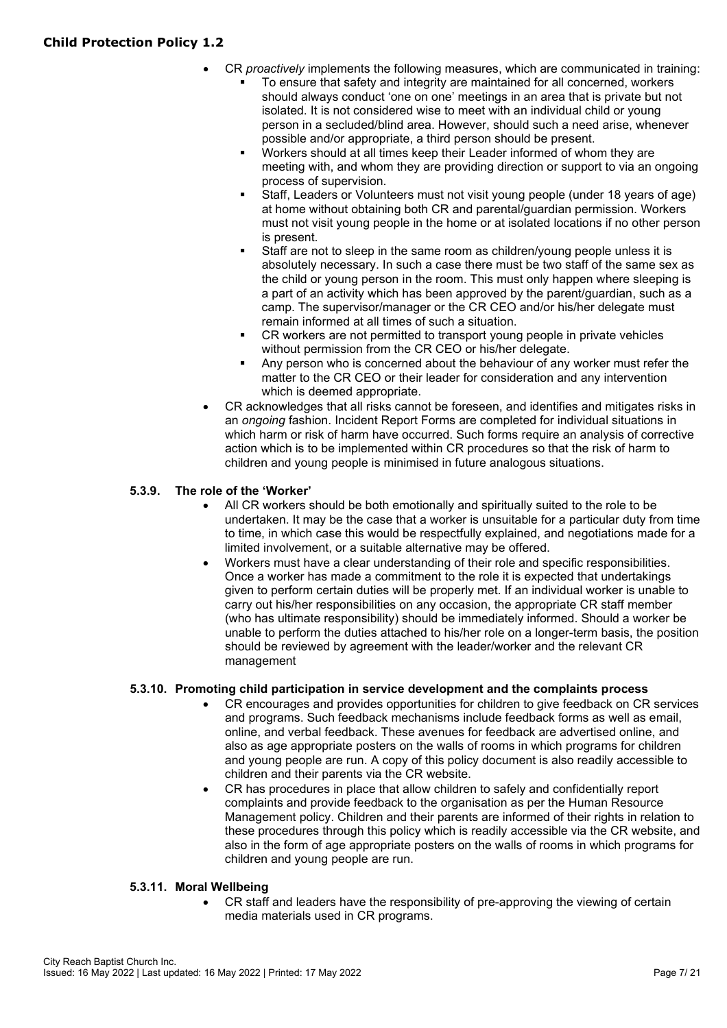- CR *proactively* implements the following measures, which are communicated in training: To ensure that safety and integrity are maintained for all concerned, workers
	- should always conduct 'one on one' meetings in an area that is private but not isolated. It is not considered wise to meet with an individual child or young person in a secluded/blind area. However, should such a need arise, whenever possible and/or appropriate, a third person should be present.
	- Workers should at all times keep their Leader informed of whom they are meeting with, and whom they are providing direction or support to via an ongoing process of supervision.
	- Staff, Leaders or Volunteers must not visit young people (under 18 years of age) at home without obtaining both CR and parental/guardian permission. Workers must not visit young people in the home or at isolated locations if no other person is present.
	- Staff are not to sleep in the same room as children/young people unless it is absolutely necessary. In such a case there must be two staff of the same sex as the child or young person in the room. This must only happen where sleeping is a part of an activity which has been approved by the parent/guardian, such as a camp. The supervisor/manager or the CR CEO and/or his/her delegate must remain informed at all times of such a situation.
	- CR workers are not permitted to transport young people in private vehicles without permission from the CR CEO or his/her delegate.
	- Any person who is concerned about the behaviour of any worker must refer the matter to the CR CEO or their leader for consideration and any intervention which is deemed appropriate.
- CR acknowledges that all risks cannot be foreseen, and identifies and mitigates risks in an *ongoing* fashion. Incident Report Forms are completed for individual situations in which harm or risk of harm have occurred. Such forms require an analysis of corrective action which is to be implemented within CR procedures so that the risk of harm to children and young people is minimised in future analogous situations.

# **5.3.9. The role of the 'Worker'**

- All CR workers should be both emotionally and spiritually suited to the role to be undertaken. It may be the case that a worker is unsuitable for a particular duty from time to time, in which case this would be respectfully explained, and negotiations made for a limited involvement, or a suitable alternative may be offered.
- Workers must have a clear understanding of their role and specific responsibilities. Once a worker has made a commitment to the role it is expected that undertakings given to perform certain duties will be properly met. If an individual worker is unable to carry out his/her responsibilities on any occasion, the appropriate CR staff member (who has ultimate responsibility) should be immediately informed. Should a worker be unable to perform the duties attached to his/her role on a longer-term basis, the position should be reviewed by agreement with the leader/worker and the relevant CR management

# **5.3.10. Promoting child participation in service development and the complaints process**

- CR encourages and provides opportunities for children to give feedback on CR services and programs. Such feedback mechanisms include feedback forms as well as email, online, and verbal feedback. These avenues for feedback are advertised online, and also as age appropriate posters on the walls of rooms in which programs for children and young people are run. A copy of this policy document is also readily accessible to children and their parents via the CR website.
- CR has procedures in place that allow children to safely and confidentially report complaints and provide feedback to the organisation as per the Human Resource Management policy. Children and their parents are informed of their rights in relation to these procedures through this policy which is readily accessible via the CR website, and also in the form of age appropriate posters on the walls of rooms in which programs for children and young people are run.

# **5.3.11. Moral Wellbeing**

• CR staff and leaders have the responsibility of pre-approving the viewing of certain media materials used in CR programs.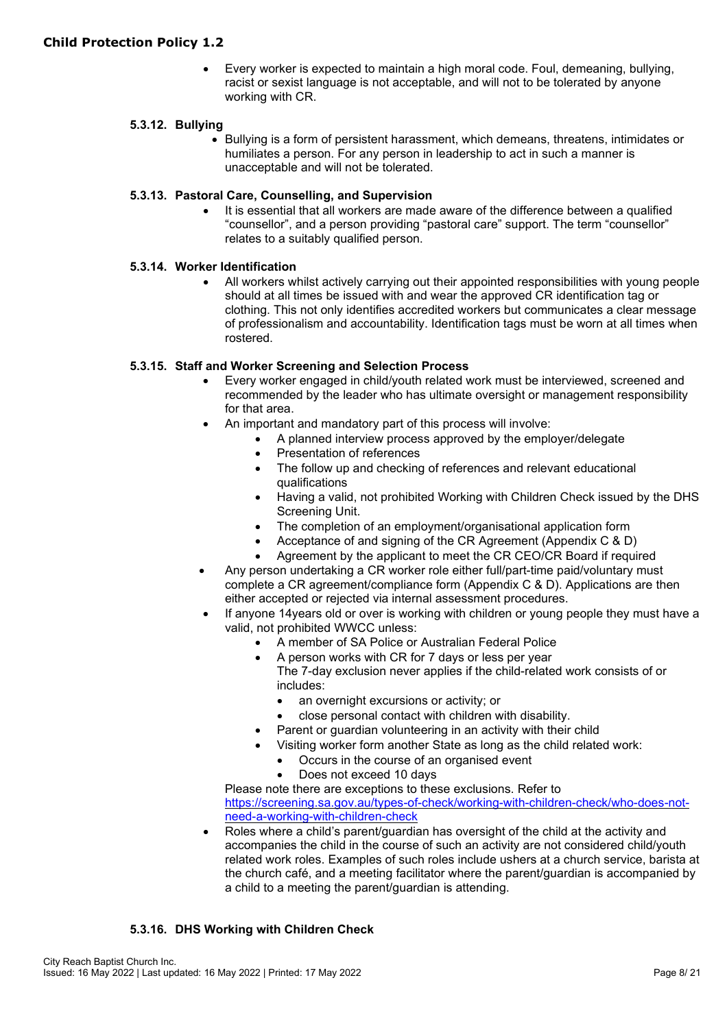• Every worker is expected to maintain a high moral code. Foul, demeaning, bullying, racist or sexist language is not acceptable, and will not to be tolerated by anyone working with CR.

# **5.3.12. Bullying**

• Bullying is a form of persistent harassment, which demeans, threatens, intimidates or humiliates a person. For any person in leadership to act in such a manner is unacceptable and will not be tolerated.

# **5.3.13. Pastoral Care, Counselling, and Supervision**

It is essential that all workers are made aware of the difference between a qualified "counsellor", and a person providing "pastoral care" support. The term "counsellor" relates to a suitably qualified person.

# **5.3.14. Worker Identification**

• All workers whilst actively carrying out their appointed responsibilities with young people should at all times be issued with and wear the approved CR identification tag or clothing. This not only identifies accredited workers but communicates a clear message of professionalism and accountability. Identification tags must be worn at all times when rostered.

# **5.3.15. Staff and Worker Screening and Selection Process**

- Every worker engaged in child/youth related work must be interviewed, screened and recommended by the leader who has ultimate oversight or management responsibility for that area.
	- An important and mandatory part of this process will involve:
		- A planned interview process approved by the employer/delegate
			- Presentation of references
			- The follow up and checking of references and relevant educational qualifications
		- Having a valid, not prohibited Working with Children Check issued by the DHS Screening Unit.
		- The completion of an employment/organisational application form
		- Acceptance of and signing of the CR Agreement (Appendix C & D)
		- Agreement by the applicant to meet the CR CEO/CR Board if required
- Any person undertaking a CR worker role either full/part-time paid/voluntary must complete a CR agreement/compliance form (Appendix C & D). Applications are then either accepted or rejected via internal assessment procedures.
- If anyone 14years old or over is working with children or young people they must have a valid, not prohibited WWCC unless:
	- A member of SA Police or Australian Federal Police
	- A person works with CR for 7 days or less per year The 7-day exclusion never applies if the child-related work consists of or includes:
		- an overnight excursions or activity; or
		- close personal contact with children with disability.
	- Parent or guardian volunteering in an activity with their child
	- Visiting worker form another State as long as the child related work:
		- Occurs in the course of an organised event
		- Does not exceed 10 days

Please note there are exceptions to these exclusions. Refer to [https://screening.sa.gov.au/types-of-check/working-with-children-check/who-does-not](https://screening.sa.gov.au/types-of-check/working-with-children-check/who-does-not-need-a-working-with-children-check)[need-a-working-with-children-check](https://screening.sa.gov.au/types-of-check/working-with-children-check/who-does-not-need-a-working-with-children-check)

Roles where a child's parent/guardian has oversight of the child at the activity and accompanies the child in the course of such an activity are not considered child/youth related work roles. Examples of such roles include ushers at a church service, barista at the church café, and a meeting facilitator where the parent/guardian is accompanied by a child to a meeting the parent/guardian is attending.

# **5.3.16. DHS Working with Children Check**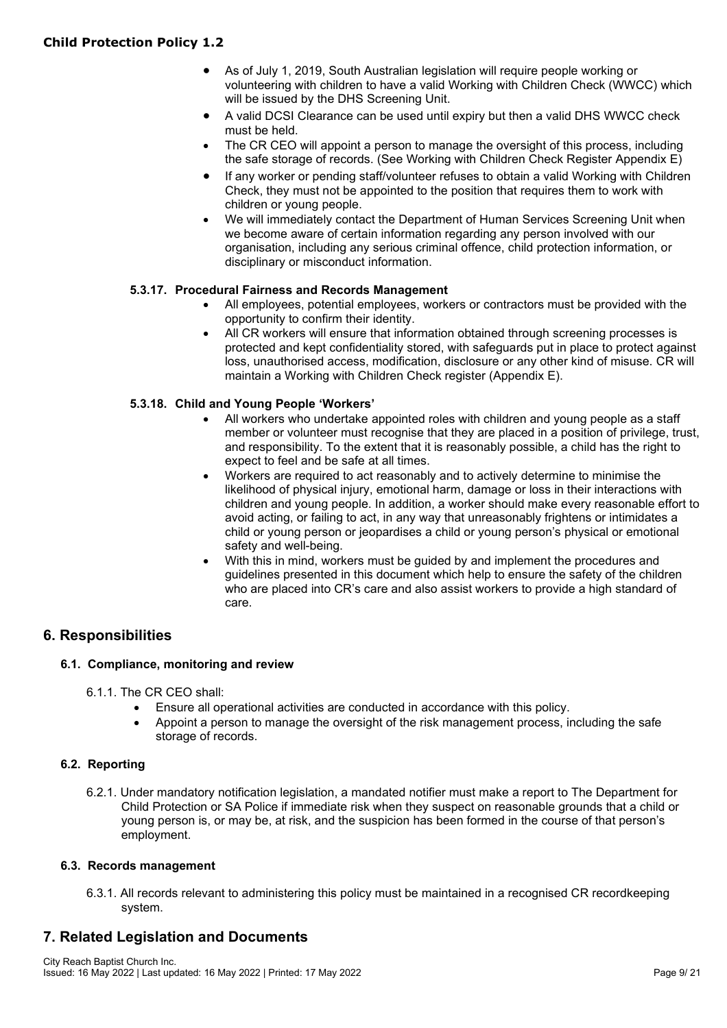- As of July 1, 2019, South Australian legislation will require people working or volunteering with children to have a valid Working with Children Check (WWCC) which will be issued by the DHS Screening Unit.
- A valid DCSI Clearance can be used until expiry but then a valid DHS WWCC check must be held.
- The CR CEO will appoint a person to manage the oversight of this process, including the safe storage of records. (See Working with Children Check Register Appendix E)
- If any worker or pending staff/volunteer refuses to obtain a valid Working with Children Check, they must not be appointed to the position that requires them to work with children or young people.
- We will immediately contact the Department of Human Services Screening Unit when we become aware of certain information regarding any person involved with our organisation, including any serious criminal offence, child protection information, or disciplinary or misconduct information.

# **5.3.17. Procedural Fairness and Records Management**

- All employees, potential employees, workers or contractors must be provided with the opportunity to confirm their identity.
- All CR workers will ensure that information obtained through screening processes is protected and kept confidentiality stored, with safeguards put in place to protect against loss, unauthorised access, modification, disclosure or any other kind of misuse. CR will maintain a Working with Children Check register (Appendix E).

# **5.3.18. Child and Young People 'Workers'**

- All workers who undertake appointed roles with children and young people as a staff member or volunteer must recognise that they are placed in a position of privilege, trust, and responsibility. To the extent that it is reasonably possible, a child has the right to expect to feel and be safe at all times.
- Workers are required to act reasonably and to actively determine to minimise the likelihood of physical injury, emotional harm, damage or loss in their interactions with children and young people. In addition, a worker should make every reasonable effort to avoid acting, or failing to act, in any way that unreasonably frightens or intimidates a child or young person or jeopardises a child or young person's physical or emotional safety and well-being.
- With this in mind, workers must be guided by and implement the procedures and guidelines presented in this document which help to ensure the safety of the children who are placed into CR's care and also assist workers to provide a high standard of care.

# **6. Responsibilities**

# **6.1. Compliance, monitoring and review**

6.1.1. The CR CEO shall:

- Ensure all operational activities are conducted in accordance with this policy.
- Appoint a person to manage the oversight of the risk management process, including the safe storage of records.

# **6.2. Reporting**

6.2.1. Under mandatory notification legislation, a mandated notifier must make a report to The Department for Child Protection or SA Police if immediate risk when they suspect on reasonable grounds that a child or young person is, or may be, at risk, and the suspicion has been formed in the course of that person's employment.

# **6.3. Records management**

6.3.1. All records relevant to administering this policy must be maintained in a recognised CR recordkeeping system.

# **7. Related Legislation and Documents**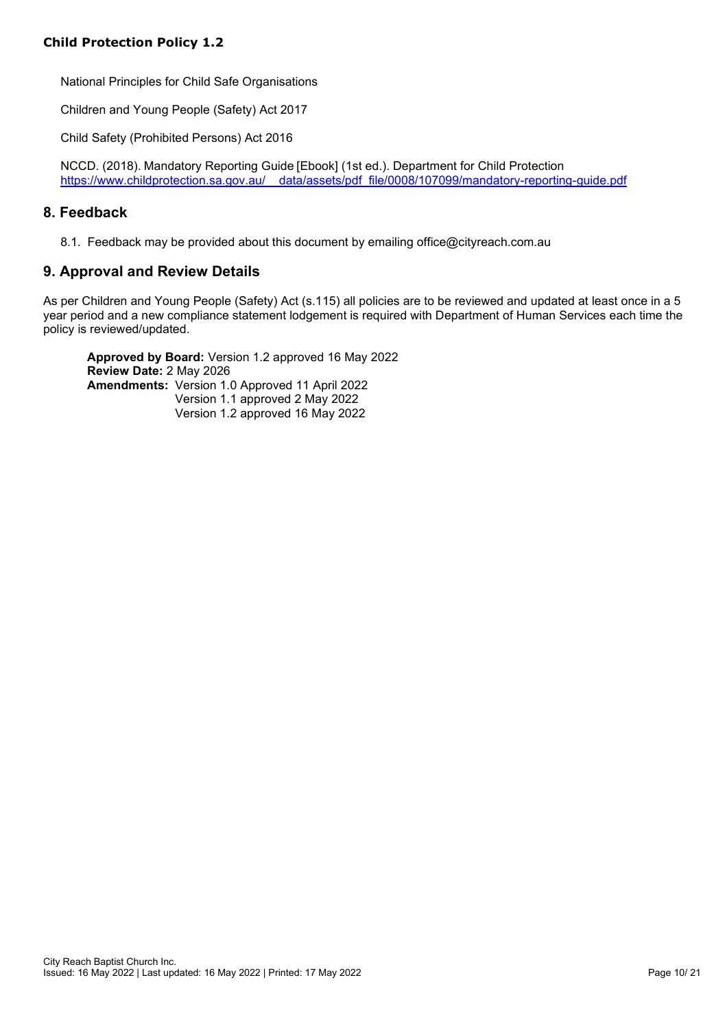National Principles for Child Safe Organisations

Children and Young People (Safety) Act 2017

Child Safety (Prohibited Persons) Act 2016

NCCD. (2018). Mandatory Reporting Guide [Ebook] (1st ed.). Department for Child Protection https://www.childprotection.sa.gov.au/ data/assets/pdf file/0008/107099/mandatory-reporting-guide.pdf

# **8. Feedback**

8.1. Feedback may be provided about this document by emailing office@cityreach.com.au

# **9. Approval and Review Details**

As per Children and Young People (Safety) Act (s.115) all policies are to be reviewed and updated at least once in a 5 year period and a new compliance statement lodgement is required with Department of Human Services each time the policy is reviewed/updated.

**Approved by Board:** Version 1.2 approved 16 May 2022 **Review Date:** 2 May 2026 **Amendments:** Version 1.0 Approved 11 April 2022 Version 1.1 approved 2 May 2022 Version 1.2 approved 16 May 2022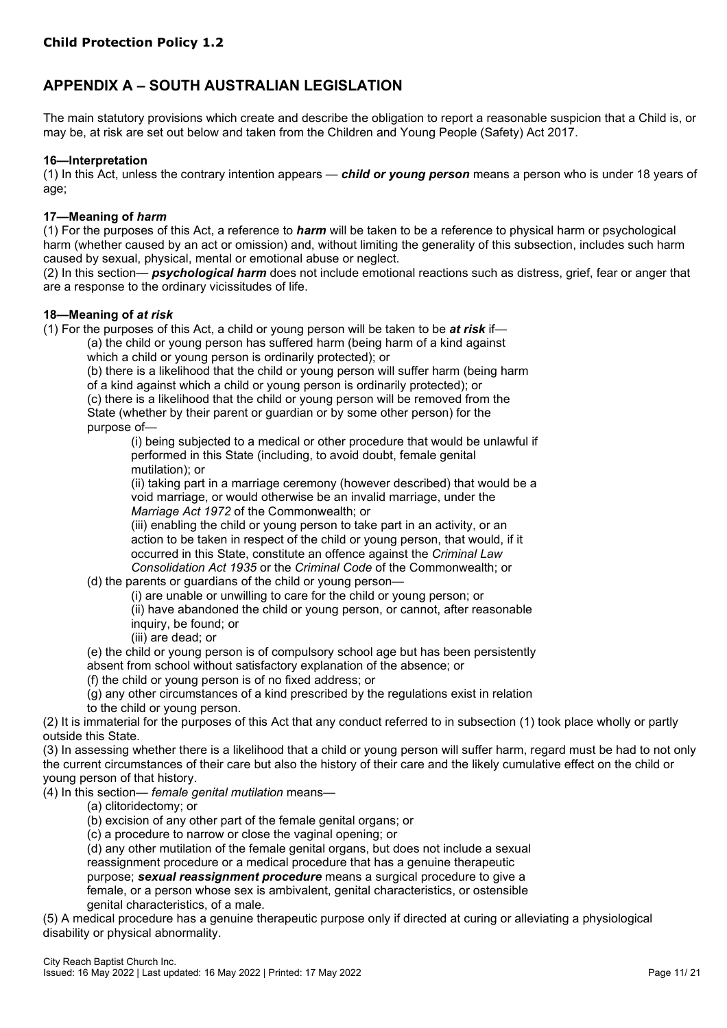# **APPENDIX A – SOUTH AUSTRALIAN LEGISLATION**

The main statutory provisions which create and describe the obligation to report a reasonable suspicion that a Child is, or may be, at risk are set out below and taken from the Children and Young People (Safety) Act 2017.

#### **16—Interpretation**

(1) In this Act, unless the contrary intention appears — *child or young person* means a person who is under 18 years of age;

#### **17—Meaning of** *harm*

(1) For the purposes of this Act, a reference to *harm* will be taken to be a reference to physical harm or psychological harm (whether caused by an act or omission) and, without limiting the generality of this subsection, includes such harm caused by sexual, physical, mental or emotional abuse or neglect.

(2) In this section— *psychological harm* does not include emotional reactions such as distress, grief, fear or anger that are a response to the ordinary vicissitudes of life.

#### **18—Meaning of** *at risk*

(1) For the purposes of this Act, a child or young person will be taken to be *at risk* if— (a) the child or young person has suffered harm (being harm of a kind against

which a child or young person is ordinarily protected); or

(b) there is a likelihood that the child or young person will suffer harm (being harm

of a kind against which a child or young person is ordinarily protected); or

(c) there is a likelihood that the child or young person will be removed from the State (whether by their parent or guardian or by some other person) for the purpose of—

(i) being subjected to a medical or other procedure that would be unlawful if performed in this State (including, to avoid doubt, female genital mutilation); or

(ii) taking part in a marriage ceremony (however described) that would be a void marriage, or would otherwise be an invalid marriage, under the *Marriage Act 1972* of the Commonwealth; or

(iii) enabling the child or young person to take part in an activity, or an action to be taken in respect of the child or young person, that would, if it occurred in this State, constitute an offence against the *Criminal Law Consolidation Act 1935* or the *Criminal Code* of the Commonwealth; or

(d) the parents or guardians of the child or young person—

(i) are unable or unwilling to care for the child or young person; or

(ii) have abandoned the child or young person, or cannot, after reasonable inquiry, be found; or

(iii) are dead; or

(e) the child or young person is of compulsory school age but has been persistently absent from school without satisfactory explanation of the absence; or

(f) the child or young person is of no fixed address; or

(g) any other circumstances of a kind prescribed by the regulations exist in relation

to the child or young person.

(2) It is immaterial for the purposes of this Act that any conduct referred to in subsection (1) took place wholly or partly outside this State.

(3) In assessing whether there is a likelihood that a child or young person will suffer harm, regard must be had to not only the current circumstances of their care but also the history of their care and the likely cumulative effect on the child or young person of that history.

(4) In this section— *female genital mutilation* means—

(a) clitoridectomy; or

(b) excision of any other part of the female genital organs; or

(c) a procedure to narrow or close the vaginal opening; or

(d) any other mutilation of the female genital organs, but does not include a sexual reassignment procedure or a medical procedure that has a genuine therapeutic

purpose; *sexual reassignment procedure* means a surgical procedure to give a

female, or a person whose sex is ambivalent, genital characteristics, or ostensible genital characteristics, of a male.

(5) A medical procedure has a genuine therapeutic purpose only if directed at curing or alleviating a physiological disability or physical abnormality.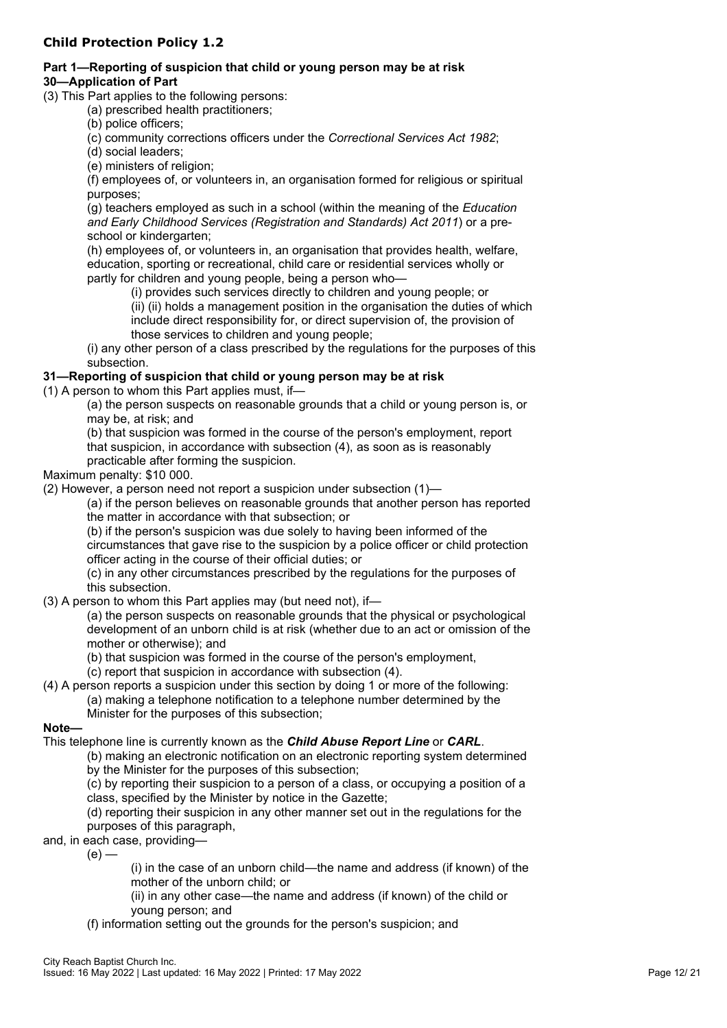# **Child Protection Policy 1.2**

#### **Part 1—Reporting of suspicion that child or young person may be at risk 30—Application of Part**

(3) This Part applies to the following persons:

- (a) prescribed health practitioners;
- (b) police officers;

(c) community corrections officers under the *Correctional Services Act 1982*;

- (d) social leaders;
- (e) ministers of religion;

(f) employees of, or volunteers in, an organisation formed for religious or spiritual purposes;

(g) teachers employed as such in a school (within the meaning of the *Education and Early Childhood Services (Registration and Standards) Act 2011*) or a preschool or kindergarten;

(h) employees of, or volunteers in, an organisation that provides health, welfare, education, sporting or recreational, child care or residential services wholly or partly for children and young people, being a person who—

(i) provides such services directly to children and young people; or

(ii) (ii) holds a management position in the organisation the duties of which include direct responsibility for, or direct supervision of, the provision of those services to children and young people;

(i) any other person of a class prescribed by the regulations for the purposes of this subsection.

# **31—Reporting of suspicion that child or young person may be at risk**

(1) A person to whom this Part applies must, if—

(a) the person suspects on reasonable grounds that a child or young person is, or may be, at risk; and

(b) that suspicion was formed in the course of the person's employment, report that suspicion, in accordance with subsection (4), as soon as is reasonably practicable after forming the suspicion.

Maximum penalty: \$10 000.

(2) However, a person need not report a suspicion under subsection (1)—

(a) if the person believes on reasonable grounds that another person has reported the matter in accordance with that subsection; or

(b) if the person's suspicion was due solely to having been informed of the

circumstances that gave rise to the suspicion by a police officer or child protection officer acting in the course of their official duties; or

(c) in any other circumstances prescribed by the regulations for the purposes of this subsection.

(3) A person to whom this Part applies may (but need not), if—

(a) the person suspects on reasonable grounds that the physical or psychological development of an unborn child is at risk (whether due to an act or omission of the mother or otherwise); and

(b) that suspicion was formed in the course of the person's employment,

(c) report that suspicion in accordance with subsection (4).

(4) A person reports a suspicion under this section by doing 1 or more of the following: (a) making a telephone notification to a telephone number determined by the Minister for the purposes of this subsection;

# **Note—**

This telephone line is currently known as the *Child Abuse Report Line* or *CARL*.

(b) making an electronic notification on an electronic reporting system determined by the Minister for the purposes of this subsection;

(c) by reporting their suspicion to a person of a class, or occupying a position of a class, specified by the Minister by notice in the Gazette;

(d) reporting their suspicion in any other manner set out in the regulations for the purposes of this paragraph,

and, in each case, providing—

 $(e)$  –

(i) in the case of an unborn child—the name and address (if known) of the mother of the unborn child; or

(ii) in any other case—the name and address (if known) of the child or young person; and

(f) information setting out the grounds for the person's suspicion; and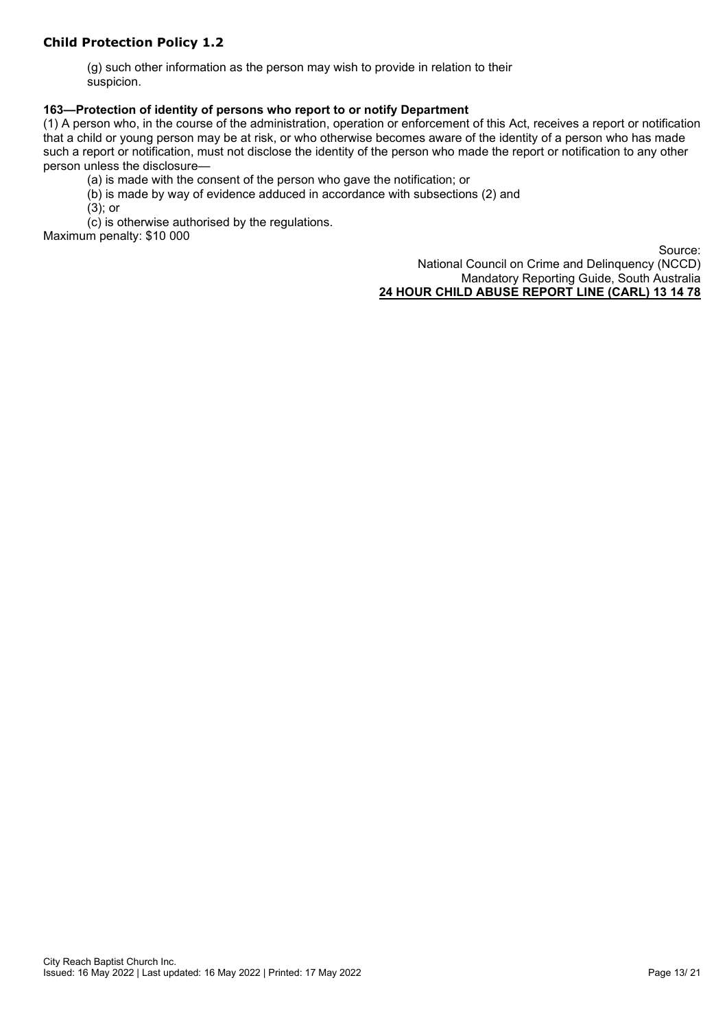# **Child Protection Policy 1.2**

(g) such other information as the person may wish to provide in relation to their suspicion.

#### **163—Protection of identity of persons who report to or notify Department**

(1) A person who, in the course of the administration, operation or enforcement of this Act, receives a report or notification that a child or young person may be at risk, or who otherwise becomes aware of the identity of a person who has made such a report or notification, must not disclose the identity of the person who made the report or notification to any other person unless the disclosure—

(a) is made with the consent of the person who gave the notification; or

- (b) is made by way of evidence adduced in accordance with subsections (2) and
- (3); or

(c) is otherwise authorised by the regulations.

Maximum penalty: \$10 000

Source: National Council on Crime and Delinquency (NCCD) Mandatory Reporting Guide, South Australia **24 HOUR CHILD ABUSE REPORT LINE (CARL) 13 14 78**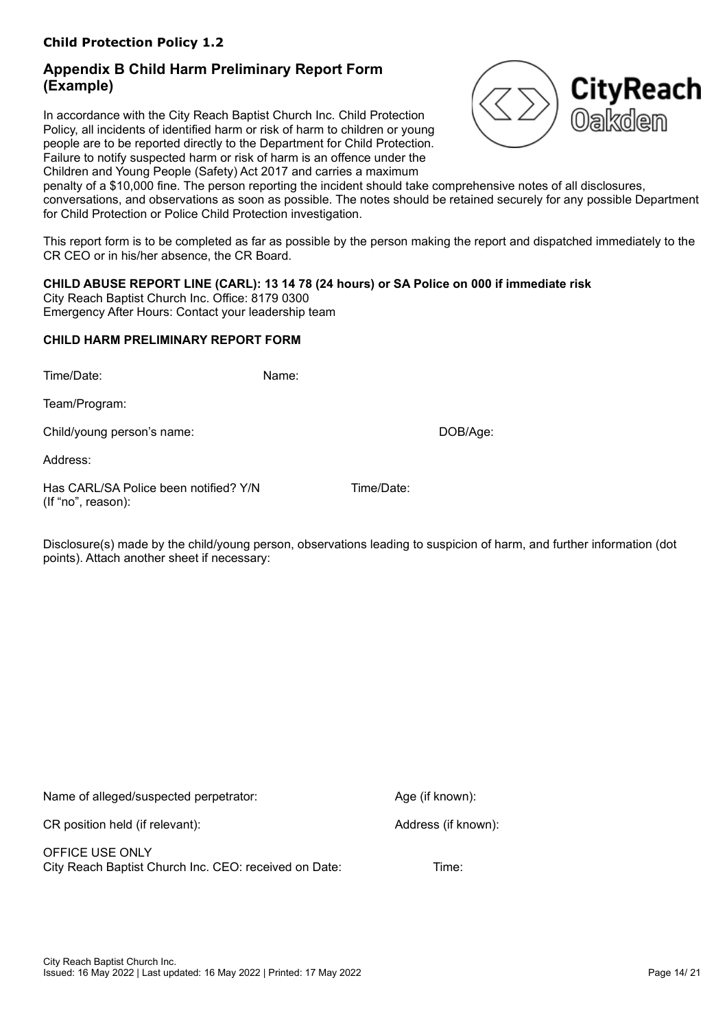# **Appendix B Child Harm Preliminary Report Form (Example)**

In accordance with the City Reach Baptist Church Inc. Child Protection Policy, all incidents of identified harm or risk of harm to children or young people are to be reported directly to the Department for Child Protection. Failure to notify suspected harm or risk of harm is an offence under the Children and Young People (Safety) Act 2017 and carries a maximum



penalty of a \$10,000 fine. The person reporting the incident should take comprehensive notes of all disclosures, conversations, and observations as soon as possible. The notes should be retained securely for any possible Department for Child Protection or Police Child Protection investigation.

This report form is to be completed as far as possible by the person making the report and dispatched immediately to the CR CEO or in his/her absence, the CR Board.

# **CHILD ABUSE REPORT LINE (CARL): 13 14 78 (24 hours) or SA Police on 000 if immediate risk**

City Reach Baptist Church Inc. Office: 8179 0300 Emergency After Hours: Contact your leadership team

# **CHILD HARM PRELIMINARY REPORT FORM**

Time/Date: Name:

Team/Program:

Child/young person's name: DOB/Age:

Address:

Has CARL/SA Police been notified? Y/N Time/Date: (If "no", reason):

Disclosure(s) made by the child/young person, observations leading to suspicion of harm, and further information (dot points). Attach another sheet if necessary:

Name of alleged/suspected perpetrator: Age (if known):

CR position held (if relevant): Address (if known):

OFFICE USE ONLY City Reach Baptist Church Inc. CEO: received on Date: Time: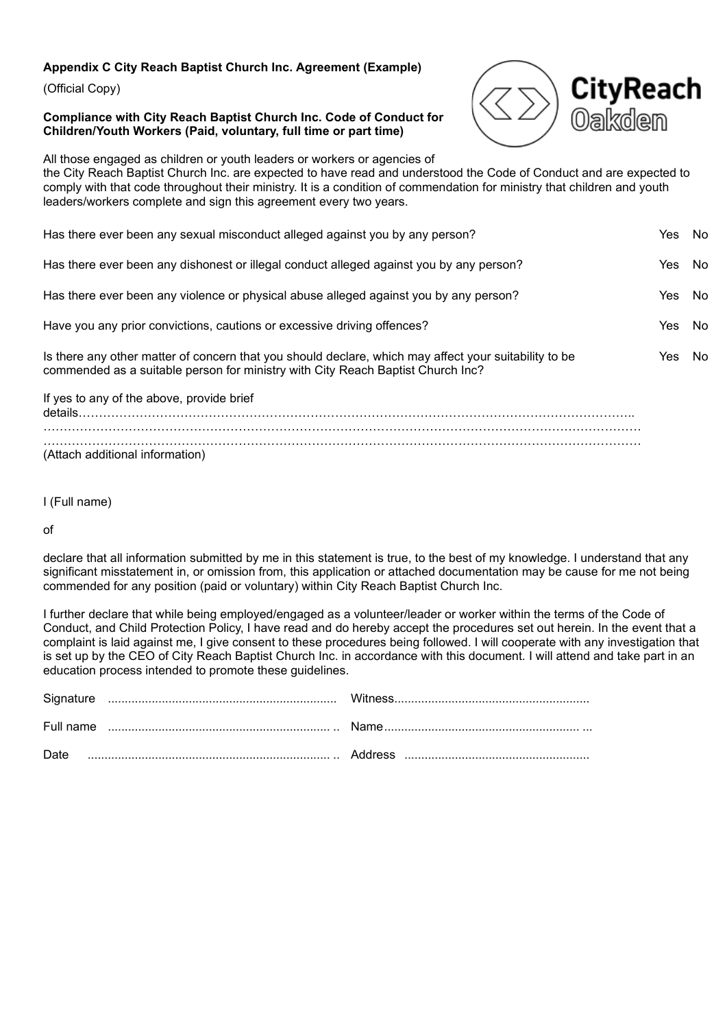# **Appendix C City Reach Baptist Church Inc. Agreement (Example)**

(Official Copy)

#### **Compliance with City Reach Baptist Church Inc. Code of Conduct for Children/Youth Workers (Paid, voluntary, full time or part time)**



All those engaged as children or youth leaders or workers or agencies of the City Reach Baptist Church Inc. are expected to have read and understood the Code of Conduct and are expected to comply with that code throughout their ministry. It is a condition of commendation for ministry that children and youth leaders/workers complete and sign this agreement every two years.

| Has there ever been any sexual misconduct alleged against you by any person?                                                                                                             | Yes  | No   |
|------------------------------------------------------------------------------------------------------------------------------------------------------------------------------------------|------|------|
| Has there ever been any dishonest or illegal conduct alleged against you by any person?                                                                                                  | Yes. | - No |
| Has there ever been any violence or physical abuse alleged against you by any person?                                                                                                    | Yes  | No   |
| Have you any prior convictions, cautions or excessive driving offences?                                                                                                                  | Yes  | No   |
| Is there any other matter of concern that you should declare, which may affect your suitability to be<br>commended as a suitable person for ministry with City Reach Baptist Church Inc? | Yes. | No   |
| If yes to any of the above, provide brief<br>$details$                                                                                                                                   |      |      |
| (Attach additional information)                                                                                                                                                          |      |      |

I (Full name)

of

declare that all information submitted by me in this statement is true, to the best of my knowledge. I understand that any significant misstatement in, or omission from, this application or attached documentation may be cause for me not being commended for any position (paid or voluntary) within City Reach Baptist Church Inc.

I further declare that while being employed/engaged as a volunteer/leader or worker within the terms of the Code of Conduct, and Child Protection Policy, I have read and do hereby accept the procedures set out herein. In the event that a complaint is laid against me, I give consent to these procedures being followed. I will cooperate with any investigation that is set up by the CEO of City Reach Baptist Church Inc. in accordance with this document. I will attend and take part in an education process intended to promote these guidelines.

| Date |  |
|------|--|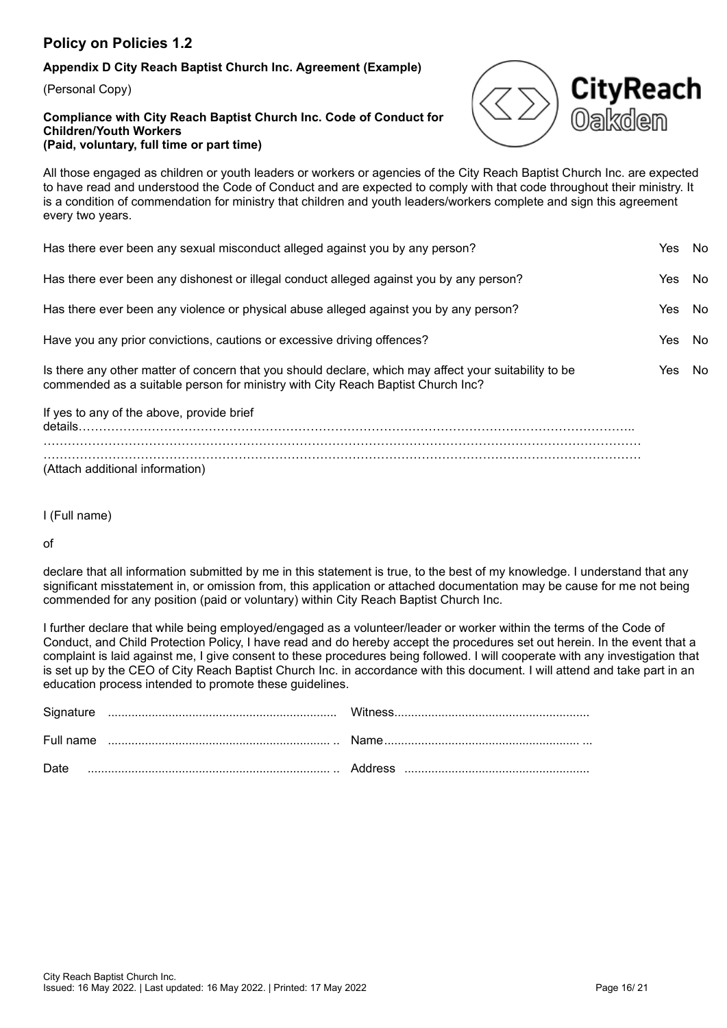# **Appendix D City Reach Baptist Church Inc. Agreement (Example)**

(Personal Copy)

#### **Compliance with City Reach Baptist Church Inc. Code of Conduct for Children/Youth Workers (Paid, voluntary, full time or part time)**



All those engaged as children or youth leaders or workers or agencies of the City Reach Baptist Church Inc. are expected to have read and understood the Code of Conduct and are expected to comply with that code throughout their ministry. It is a condition of commendation for ministry that children and youth leaders/workers complete and sign this agreement every two years.

| Has there ever been any sexual misconduct alleged against you by any person?                                                                                                             | Yes  | - No |
|------------------------------------------------------------------------------------------------------------------------------------------------------------------------------------------|------|------|
| Has there ever been any dishonest or illegal conduct alleged against you by any person?                                                                                                  | Yes  | - No |
| Has there ever been any violence or physical abuse alleged against you by any person?                                                                                                    | Yes  | - No |
| Have you any prior convictions, cautions or excessive driving offences?                                                                                                                  | Yes. | - No |
| Is there any other matter of concern that you should declare, which may affect your suitability to be<br>commended as a suitable person for ministry with City Reach Baptist Church Inc? | Yes. | No   |
| If yes to any of the above, provide brief                                                                                                                                                |      |      |

details……………………………………………………………………………………………………………………….. ………………………………………………………………………………………………………………………………… ………………………………………………………………………………………………………………………………… (Attach additional information)

I (Full name)

of

declare that all information submitted by me in this statement is true, to the best of my knowledge. I understand that any significant misstatement in, or omission from, this application or attached documentation may be cause for me not being commended for any position (paid or voluntary) within City Reach Baptist Church Inc.

I further declare that while being employed/engaged as a volunteer/leader or worker within the terms of the Code of Conduct, and Child Protection Policy, I have read and do hereby accept the procedures set out herein. In the event that a complaint is laid against me, I give consent to these procedures being followed. I will cooperate with any investigation that is set up by the CEO of City Reach Baptist Church Inc. in accordance with this document. I will attend and take part in an education process intended to promote these guidelines.

| Date |  |
|------|--|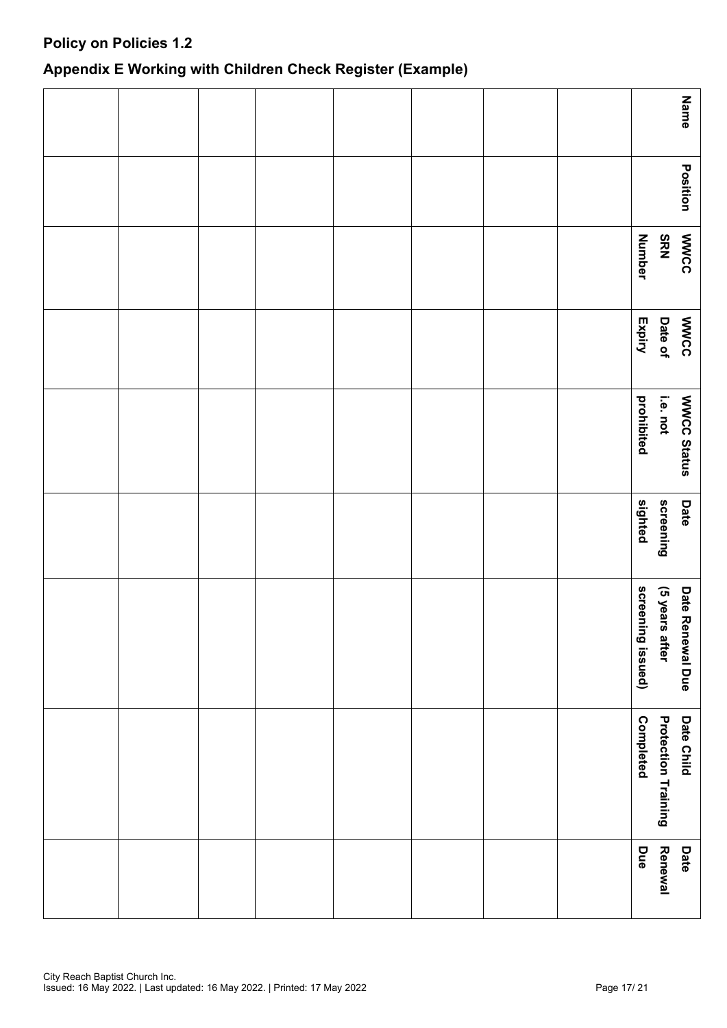# **Appendix E Working with Children Check Register (Example)**

| Name                                                         |  |  |  |  |
|--------------------------------------------------------------|--|--|--|--|
| Position                                                     |  |  |  |  |
| <b>MWCC</b><br><b>SRN</b><br><b>Number</b>                   |  |  |  |  |
| <b>MWCC</b><br>Date of<br>Expiry                             |  |  |  |  |
| WWCC Status<br>prohibited<br>i.e. not                        |  |  |  |  |
| screening<br>sighted<br>Date                                 |  |  |  |  |
| screening issued)<br>(5 years after<br>Date Renewal Due      |  |  |  |  |
| <b>Completed</b><br><b>Protection Training</b><br>Date Child |  |  |  |  |
| Due<br>Renewal<br>Date                                       |  |  |  |  |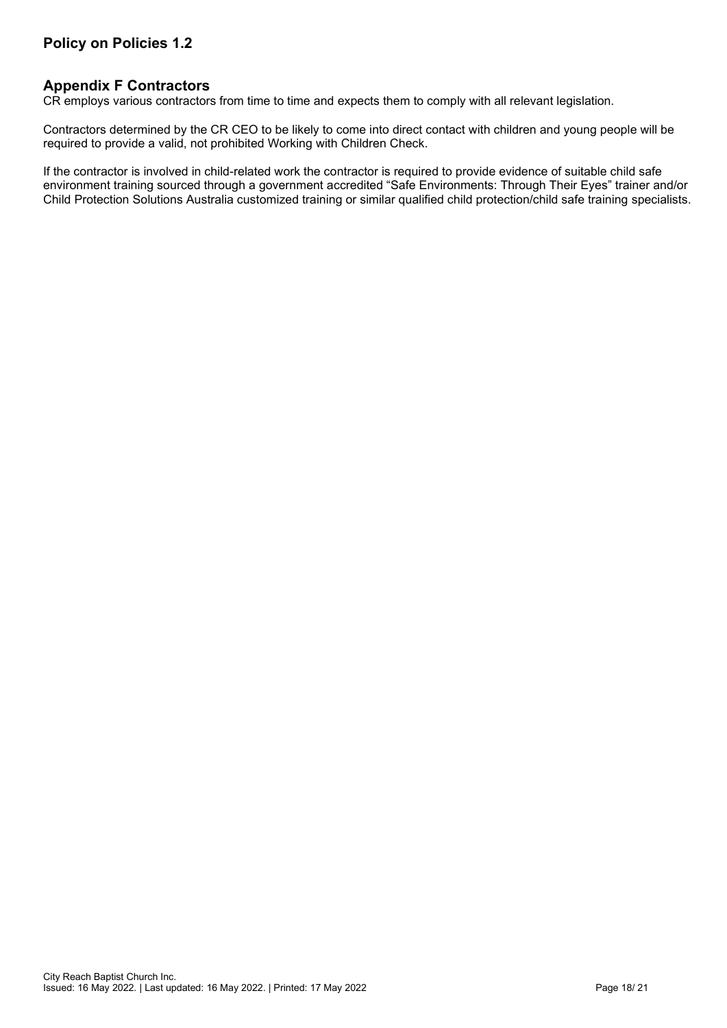# **Appendix F Contractors**

CR employs various contractors from time to time and expects them to comply with all relevant legislation.

Contractors determined by the CR CEO to be likely to come into direct contact with children and young people will be required to provide a valid, not prohibited Working with Children Check.

If the contractor is involved in child-related work the contractor is required to provide evidence of suitable child safe environment training sourced through a government accredited "Safe Environments: Through Their Eyes" trainer and/or Child Protection Solutions Australia customized training or similar qualified child protection/child safe training specialists.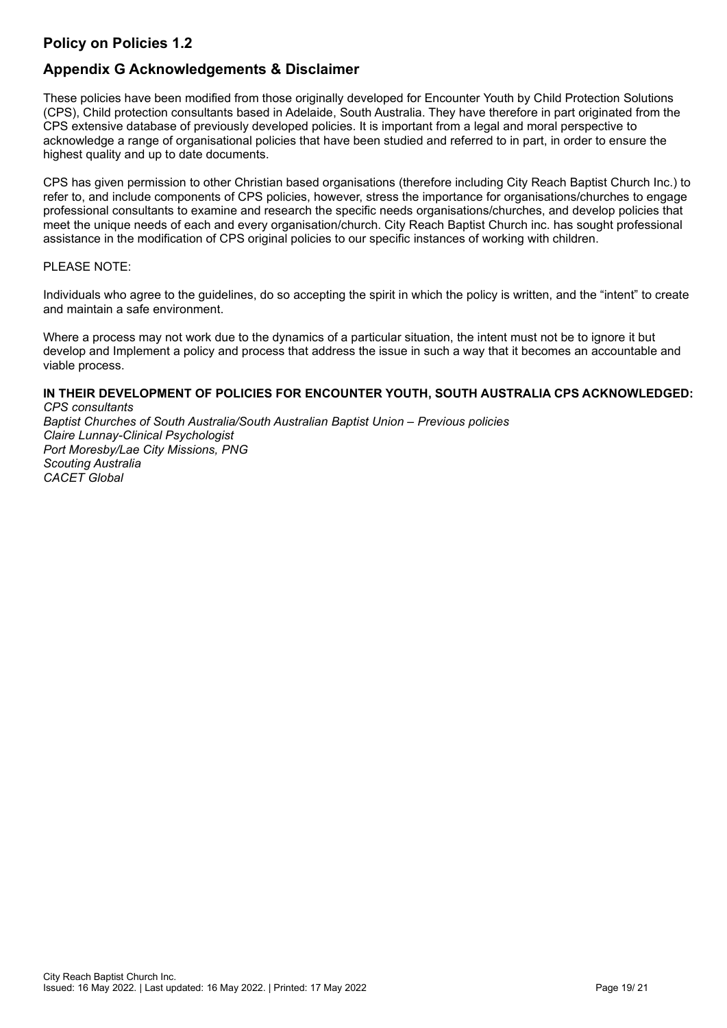# **Appendix G Acknowledgements & Disclaimer**

These policies have been modified from those originally developed for Encounter Youth by Child Protection Solutions (CPS), Child protection consultants based in Adelaide, South Australia. They have therefore in part originated from the CPS extensive database of previously developed policies. It is important from a legal and moral perspective to acknowledge a range of organisational policies that have been studied and referred to in part, in order to ensure the highest quality and up to date documents.

CPS has given permission to other Christian based organisations (therefore including City Reach Baptist Church Inc.) to refer to, and include components of CPS policies, however, stress the importance for organisations/churches to engage professional consultants to examine and research the specific needs organisations/churches, and develop policies that meet the unique needs of each and every organisation/church. City Reach Baptist Church inc. has sought professional assistance in the modification of CPS original policies to our specific instances of working with children.

#### PLEASE NOTE:

Individuals who agree to the guidelines, do so accepting the spirit in which the policy is written, and the "intent" to create and maintain a safe environment.

Where a process may not work due to the dynamics of a particular situation, the intent must not be to ignore it but develop and Implement a policy and process that address the issue in such a way that it becomes an accountable and viable process.

# **IN THEIR DEVELOPMENT OF POLICIES FOR ENCOUNTER YOUTH, SOUTH AUSTRALIA CPS ACKNOWLEDGED:**

*CPS consultants Baptist Churches of South Australia/South Australian Baptist Union – Previous policies Claire Lunnay-Clinical Psychologist Port Moresby/Lae City Missions, PNG Scouting Australia CACET Global*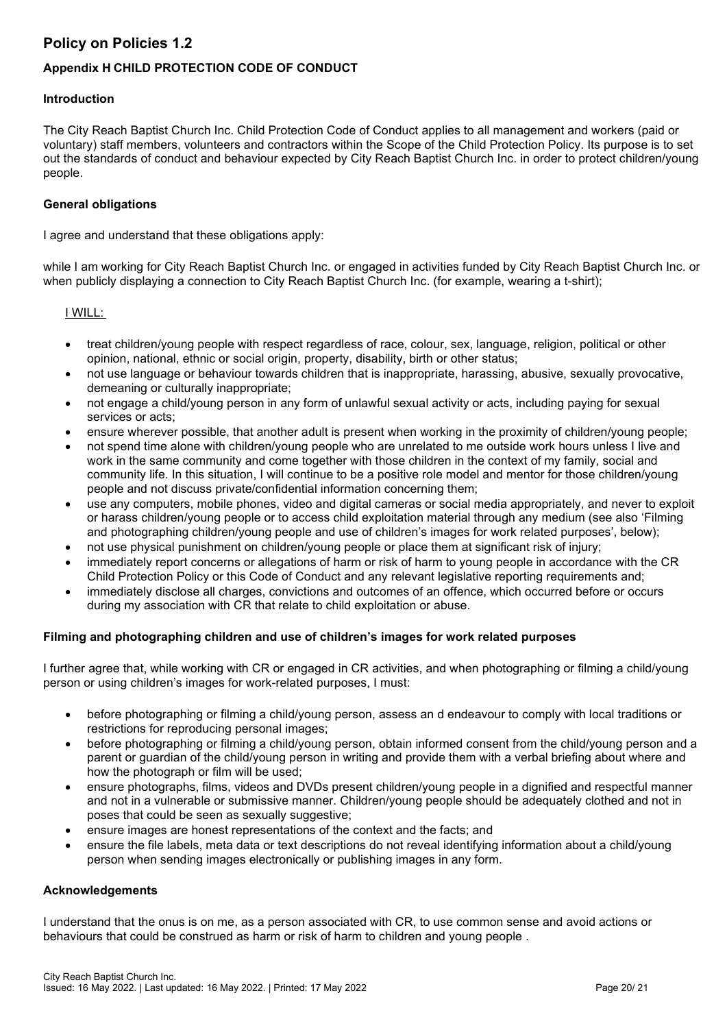# **Appendix H CHILD PROTECTION CODE OF CONDUCT**

# **Introduction**

The City Reach Baptist Church Inc. Child Protection Code of Conduct applies to all management and workers (paid or voluntary) staff members, volunteers and contractors within the Scope of the Child Protection Policy. Its purpose is to set out the standards of conduct and behaviour expected by City Reach Baptist Church Inc. in order to protect children/young people.

#### **General obligations**

I agree and understand that these obligations apply:

while I am working for City Reach Baptist Church Inc. or engaged in activities funded by City Reach Baptist Church Inc. or when publicly displaying a connection to City Reach Baptist Church Inc. (for example, wearing a t-shirt);

#### I WILL:

- treat children/young people with respect regardless of race, colour, sex, language, religion, political or other opinion, national, ethnic or social origin, property, disability, birth or other status;
- not use language or behaviour towards children that is inappropriate, harassing, abusive, sexually provocative, demeaning or culturally inappropriate;
- not engage a child/young person in any form of unlawful sexual activity or acts, including paying for sexual services or acts;
- ensure wherever possible, that another adult is present when working in the proximity of children/young people;
- not spend time alone with children/young people who are unrelated to me outside work hours unless I live and work in the same community and come together with those children in the context of my family, social and community life. In this situation, I will continue to be a positive role model and mentor for those children/young people and not discuss private/confidential information concerning them;
- use any computers, mobile phones, video and digital cameras or social media appropriately, and never to exploit or harass children/young people or to access child exploitation material through any medium (see also 'Filming and photographing children/young people and use of children's images for work related purposes', below);
- not use physical punishment on children/young people or place them at significant risk of injury;
- immediately report concerns or allegations of harm or risk of harm to young people in accordance with the CR Child Protection Policy or this Code of Conduct and any relevant legislative reporting requirements and;
- immediately disclose all charges, convictions and outcomes of an offence, which occurred before or occurs during my association with CR that relate to child exploitation or abuse.

# **Filming and photographing children and use of children's images for work related purposes**

I further agree that, while working with CR or engaged in CR activities, and when photographing or filming a child/young person or using children's images for work-related purposes, I must:

- before photographing or filming a child/young person, assess an d endeavour to comply with local traditions or restrictions for reproducing personal images;
- before photographing or filming a child/young person, obtain informed consent from the child/young person and a parent or guardian of the child/young person in writing and provide them with a verbal briefing about where and how the photograph or film will be used;
- ensure photographs, films, videos and DVDs present children/young people in a dignified and respectful manner and not in a vulnerable or submissive manner. Children/young people should be adequately clothed and not in poses that could be seen as sexually suggestive;
- ensure images are honest representations of the context and the facts; and
- ensure the file labels, meta data or text descriptions do not reveal identifying information about a child/young person when sending images electronically or publishing images in any form.

# **Acknowledgements**

I understand that the onus is on me, as a person associated with CR, to use common sense and avoid actions or behaviours that could be construed as harm or risk of harm to children and young people .